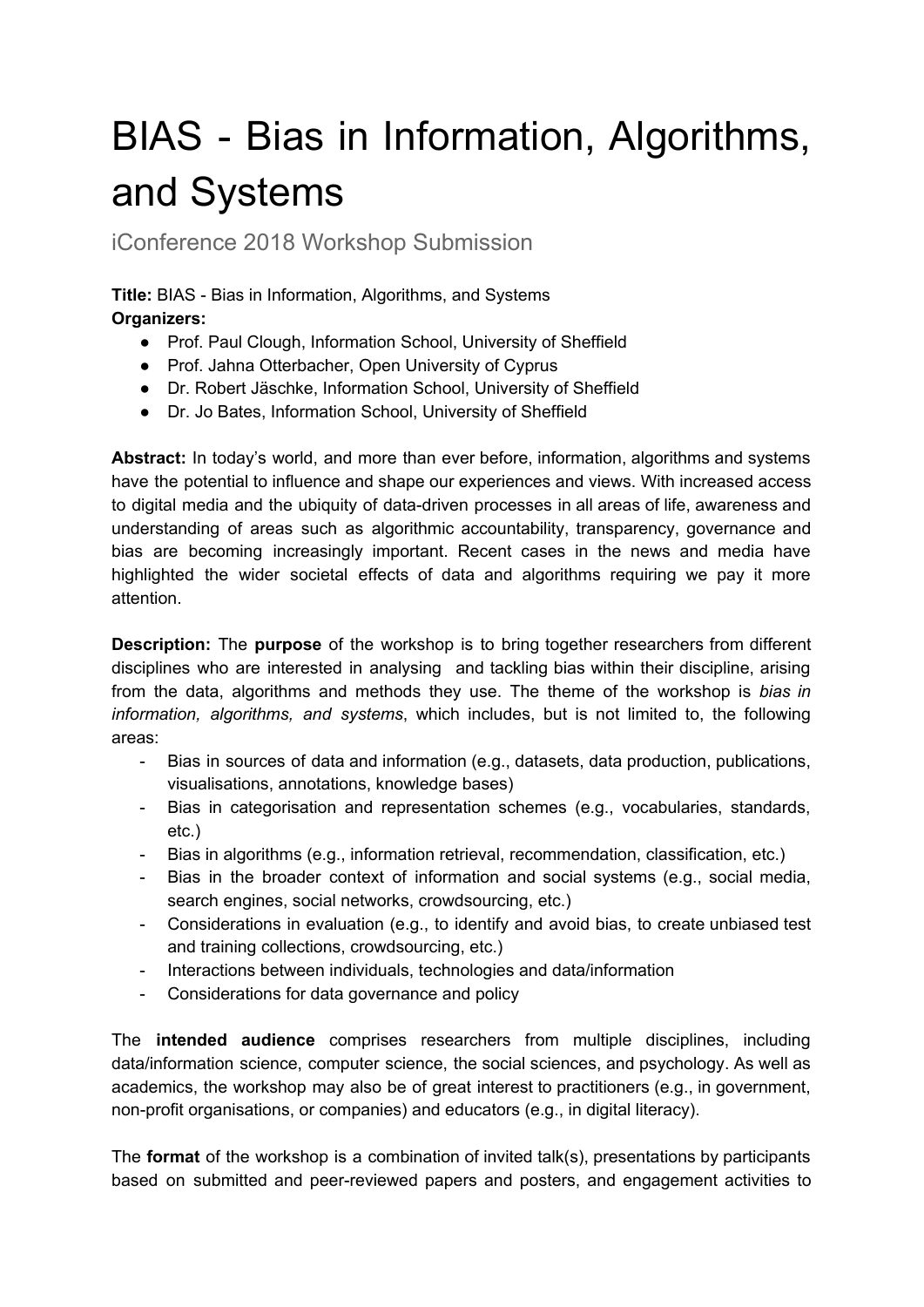## BIAS - Bias in Information, Algorithms, and Systems

iConference 2018 Workshop Submission

**Title:** BIAS - Bias in Information, Algorithms, and Systems **Organizers:**

- Prof. Paul Clough, Information School, University of Sheffield
- Prof. Jahna Otterbacher, Open University of Cyprus
- Dr. Robert Jäschke, Information School, University of Sheffield
- Dr. Jo Bates, Information School, University of Sheffield

**Abstract:** In today's world, and more than ever before, information, algorithms and systems have the potential to influence and shape our experiences and views. With increased access to digital media and the ubiquity of data-driven processes in all areas of life, awareness and understanding of areas such as algorithmic accountability, transparency, governance and bias are becoming increasingly important. Recent cases in the news and media have highlighted the wider societal effects of data and algorithms requiring we pay it more attention.

**Description:** The **purpose** of the workshop is to bring together researchers from different disciplines who are interested in analysing and tackling bias within their discipline, arising from the data, algorithms and methods they use. The theme of the workshop is *bias in information, algorithms, and systems*, which includes, but is not limited to, the following areas:

- Bias in sources of data and information (e.g., datasets, data production, publications, visualisations, annotations, knowledge bases)
- Bias in categorisation and representation schemes (e.g., vocabularies, standards, etc.)
- Bias in algorithms (e.g., information retrieval, recommendation, classification, etc.)
- Bias in the broader context of information and social systems (e.g., social media, search engines, social networks, crowdsourcing, etc.)
- Considerations in evaluation (e.g., to identify and avoid bias, to create unbiased test and training collections, crowdsourcing, etc.)
- Interactions between individuals, technologies and data/information
- Considerations for data governance and policy

The **intended audience** comprises researchers from multiple disciplines, including data/information science, computer science, the social sciences, and psychology. As well as academics, the workshop may also be of great interest to practitioners (e.g., in government, non-profit organisations, or companies) and educators (e.g., in digital literacy).

The **format** of the workshop is a combination of invited talk(s), presentations by participants based on submitted and peer-reviewed papers and posters, and engagement activities to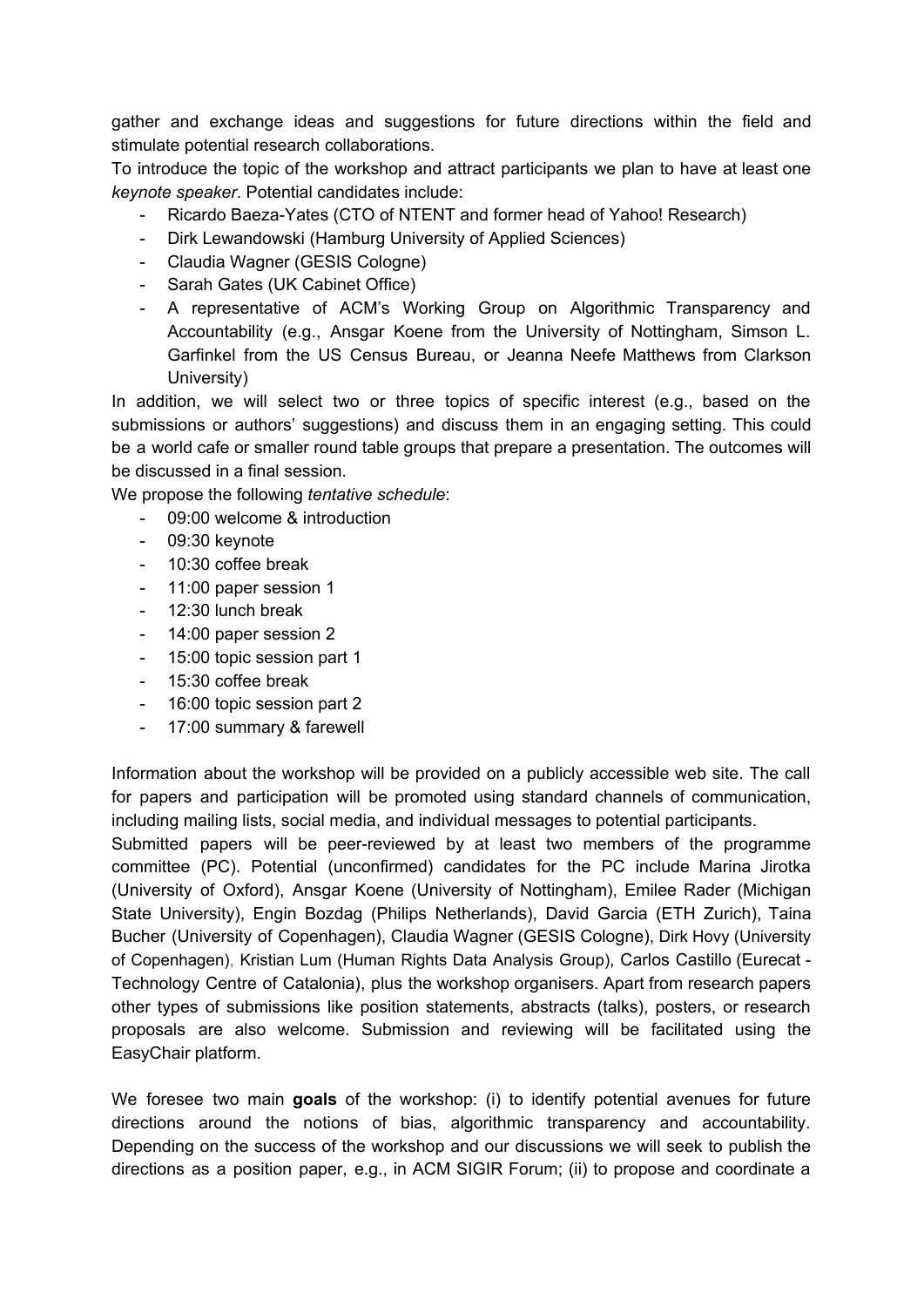gather and exchange ideas and suggestions for future directions within the field and stimulate potential research collaborations.

To introduce the topic of the workshop and attract participants we plan to have at least one *keynote speaker*. Potential candidates include:

- Ricardo Baeza-Yates (CTO of NTENT and former head of Yahoo! Research)
- Dirk Lewandowski (Hamburg University of Applied Sciences)
- Claudia Wagner (GESIS Cologne)
- Sarah Gates (UK Cabinet Office)
- A representative of ACM's Working Group on Algorithmic Transparency and Accountability (e.g., Ansgar Koene from the University of Nottingham, Simson L. Garfinkel from the US Census Bureau, or Jeanna Neefe Matthews from Clarkson University)

In addition, we will select two or three topics of specific interest (e.g., based on the submissions or authors' suggestions) and discuss them in an engaging setting. This could be a world cafe or smaller round table groups that prepare a presentation. The outcomes will be discussed in a final session.

We propose the following *tentative schedule*:

- 09:00 welcome & introduction
- 09:30 keynote
- 10:30 coffee break
- 11:00 paper session 1
- 12:30 lunch break
- 14:00 paper session 2
- 15:00 topic session part 1
- 15:30 coffee break
- 16:00 topic session part 2
- 17:00 summary & farewell

Information about the workshop will be provided on a publicly accessible web site. The call for papers and participation will be promoted using standard channels of communication, including mailing lists, social media, and individual messages to potential participants.

Submitted papers will be peer-reviewed by at least two members of the programme committee (PC). Potential (unconfirmed) candidates for the PC include Marina Jirotka (University of Oxford), Ansgar Koene (University of Nottingham), Emilee Rader (Michigan State University), Engin Bozdag (Philips Netherlands), David Garcia (ETH Zurich), Taina Bucher (University of Copenhagen), Claudia Wagner (GESIS Cologne), Dirk Hovy (University of Copenhagen), Kristian Lum (Human Rights Data Analysis Group), Carlos Castillo (Eurecat - Technology Centre of Catalonia), plus the workshop organisers. Apart from research papers other types of submissions like position statements, abstracts (talks), posters, or research proposals are also welcome. Submission and reviewing will be facilitated using the EasyChair platform.

We foresee two main **goals** of the workshop: (i) to identify potential avenues for future directions around the notions of bias, algorithmic transparency and accountability. Depending on the success of the workshop and our discussions we will seek to publish the directions as a position paper, e.g., in ACM SIGIR Forum; (ii) to propose and coordinate a